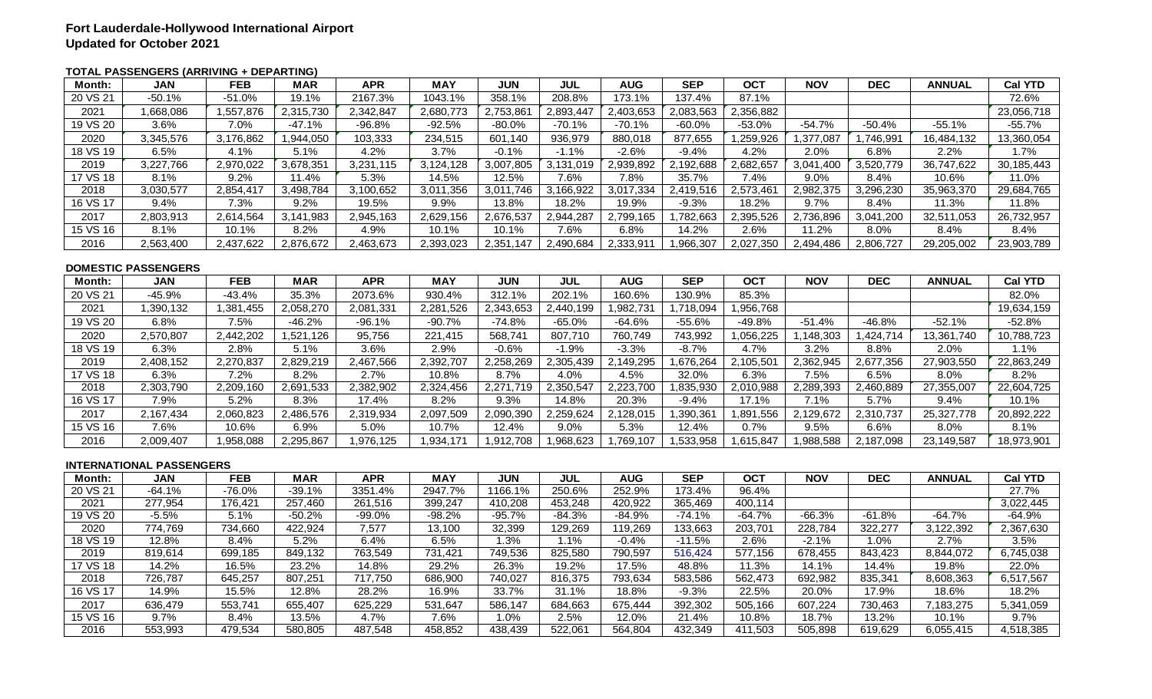## **TOTAL PASSENGERS (ARRIVING + DEPARTING)**

| Month:   | <b>JAN</b> | <b>FEB</b> | <b>MAR</b> | <b>APR</b> | <b>MAY</b> | <b>JUN</b> | <b>JUL</b> | <b>AUG</b> | <b>SEP</b> | <b>OCT</b> | <b>NOV</b> | <b>DEC</b> | <b>ANNUAL</b> | <b>Cal YTD</b> |
|----------|------------|------------|------------|------------|------------|------------|------------|------------|------------|------------|------------|------------|---------------|----------------|
| 20 VS 21 | $-50.1%$   | $-51.0%$   | 19.1%      | 2167.3%    | 1043.1%    | 358.1%     | 208.8%     | 173.1%     | 137.4%     | 87.1%      |            |            |               | 72.6%          |
| 2021     | ,668,086   | 557,876.   | 2,315,730  | 2,342,847  | 2,680,773  | 2,753,861  | 2,893,447  | 2,403,653  | 2,083,563  | 2,356,882  |            |            |               | 23,056,718     |
| 19 VS 20 | 3.6%       | 7.0%       | $-47.1%$   | -96.8%     | $-92.5%$   | $-80.0%$   | $-70.1%$   | $-70.1%$   | $-60.0\%$  | $-53.0%$   | $-54.7%$   | $-50.4%$   | $-55.1%$      | $-55.7%$       |
| 2020     | 3,345,576  | 3,176,862  | ,944,050   | 103,333    | 234,515    | 601,140    | 936,979    | 880,018    | 877,655    | .259,926   | ,377,087   | ,746,991   | 16,484,132    | 13,360,054     |
| 18 VS 19 | 6.5%       | 4.1%       | 5.1%       | 4.2%       | 3.7%       | $-0.1%$    | $-1.1\%$   | -2.6%      | -9.4%      | 4.2%       | 2.0%       | 6.8%       | $2.2\%$       | .7%،           |
| 2019     | 3,227,766  | 2,970,022  | 3,678,351  | 3,231,115  | 3,124,128  | 3,007,805  | 3,131,019  | 2,939,892  | 2,192,688  | 2,682,657  | 3,041,400  | 3,520,779  | 36,747,622    | 30,185,443     |
| 17 VS 18 | 8.1%       | 9.2%       | 11.4%      | 5.3%       | 14.5%      | 12.5%      | 7.6%       | 7.8%       | 35.7%      | 7.4%       | $9.0\%$    | 8.4%       | 10.6%         | 11.0%          |
| 2018     | 3,030,577  | 2,854,417  | 3,498,784  | 3,100,652  | 3,011,356  | 3,011,746  | 3,166,922  | 3,017,334  | 2,419,516  | 2,573,461  | 2,982,375  | 3,296,230  | 35,963,370    | 29,684,765     |
| 16 VS 17 | 9.4%       | 7.3%       | 9.2%       | 19.5%      | 9.9%       | 13.8%      | 18.2%      | 19.9%      | $-9.3%$    | 18.2%      | 9.7%       | 8.4%       | 11.3%         | 11.8%          |
| 2017     | 2,803,913  | 2,614,564  | 3.141.983  | 2,945,163  | 2,629,156  | 2,676,537  | 2,944,287  | 2,799,165  | .782,663   | 2,395,526  | 2,736,896  | 3,041,200  | 32,511,053    | 26,732,957     |
| 15 VS 16 | 8.1%       | 10.1%      | 8.2%       | 4.9%       | 10.1%      | 10.1%      | 7.6%       | 6.8%       | 14.2%      | 2.6%       | 11.2%      | 8.0%       | $8.4\%$       | 8.4%           |
| 2016     | 2,563,400  | 2,437,622  | 2,876,672  | 2,463,673  | 2,393,023  | 2,351,147  | 2,490,684  | 2,333,91   | 966,307    | 2,027,350  | 2,494,486  | 2,806,727  | 29,205,002    | 23,903,789     |
|          |            |            |            |            |            |            |            |            |            |            |            |            |               |                |

#### **DOMESTIC PASSENGERS**

| 20 VS 21<br>202.1%<br>85.3%<br>-45.9%<br>$-43.4%$<br>35.3%<br>2073.6%<br>312.1%<br>130.9%<br>82.0%<br>930.4%<br>160.6%<br>.956,768<br>19,634,159<br>2021<br>.390,132<br>1,381,455<br>2,058,270<br>2,081,331<br>2,281,526<br>2,343,653<br>1,982,731<br>1.718.094<br>2.440.199<br>19 VS 20<br>$-46.8%$<br>6.8%<br>$-46.2%$<br>$-96.1%$<br>$-65.0\%$<br>-55.6%<br>-49.8%<br>$-52.1%$<br>-52.8%<br>7.5%<br>$-90.7%$<br>$-74.8%$<br>-64.6%<br>$-51.4%$<br>568,741<br>807,710<br>743,992<br>10,788,723<br>2020<br>2,570,807<br>2,442,202<br>.521,126<br>95,756<br>221,415<br>760,749<br>.056,225<br>.148.303<br>1,424,714<br>13,361,740<br>18 VS 19<br>$-8.7%$<br>3.6%<br>$-0.6%$<br>4.7%<br>3.2%<br>6.3%<br>2.8%<br>2.9%<br>$-1.9%$<br>-3.3%<br>8.8%<br>1.1%<br>5.1%<br>2.0%<br>22,863,249<br>2019<br>2,270,837<br>2,829,219<br>2,467,566<br>2,392,707<br>2,258,269<br>2,305,439<br>2,149,295<br>.676,264<br>2,105,50'<br>2,362,945<br>2,677,356<br>27,903,550<br>2.408.152<br>17 VS 18<br>8.7%<br>32.0%<br>6.3%<br>8.2%<br>6.3%<br>7.2%<br>8.2%<br>2.7%<br>10.8%<br>4.0%<br>6.5%<br>4.5%<br>7.5%<br>$8.0\%$<br>2018<br>2,303,790<br>2,382,902<br>2,271,719<br>2,223,700<br>.835,930<br>2,010,988<br>2,289,393<br>22,604,725<br>2,209,160<br>2,691,533<br>2,324,456<br>2,350,547<br>2,460,889<br>27,355,007 |
|--------------------------------------------------------------------------------------------------------------------------------------------------------------------------------------------------------------------------------------------------------------------------------------------------------------------------------------------------------------------------------------------------------------------------------------------------------------------------------------------------------------------------------------------------------------------------------------------------------------------------------------------------------------------------------------------------------------------------------------------------------------------------------------------------------------------------------------------------------------------------------------------------------------------------------------------------------------------------------------------------------------------------------------------------------------------------------------------------------------------------------------------------------------------------------------------------------------------------------------------------------------------------------------------------------|
|                                                                                                                                                                                                                                                                                                                                                                                                                                                                                                                                                                                                                                                                                                                                                                                                                                                                                                                                                                                                                                                                                                                                                                                                                                                                                                        |
|                                                                                                                                                                                                                                                                                                                                                                                                                                                                                                                                                                                                                                                                                                                                                                                                                                                                                                                                                                                                                                                                                                                                                                                                                                                                                                        |
|                                                                                                                                                                                                                                                                                                                                                                                                                                                                                                                                                                                                                                                                                                                                                                                                                                                                                                                                                                                                                                                                                                                                                                                                                                                                                                        |
|                                                                                                                                                                                                                                                                                                                                                                                                                                                                                                                                                                                                                                                                                                                                                                                                                                                                                                                                                                                                                                                                                                                                                                                                                                                                                                        |
|                                                                                                                                                                                                                                                                                                                                                                                                                                                                                                                                                                                                                                                                                                                                                                                                                                                                                                                                                                                                                                                                                                                                                                                                                                                                                                        |
|                                                                                                                                                                                                                                                                                                                                                                                                                                                                                                                                                                                                                                                                                                                                                                                                                                                                                                                                                                                                                                                                                                                                                                                                                                                                                                        |
|                                                                                                                                                                                                                                                                                                                                                                                                                                                                                                                                                                                                                                                                                                                                                                                                                                                                                                                                                                                                                                                                                                                                                                                                                                                                                                        |
|                                                                                                                                                                                                                                                                                                                                                                                                                                                                                                                                                                                                                                                                                                                                                                                                                                                                                                                                                                                                                                                                                                                                                                                                                                                                                                        |
| 16 VS 17<br>9.3%<br>7.9%<br>$5.2\%$<br>8.3%<br>17.4%<br>8.2%<br>14.8%<br>20.3%<br>$-9.4%$<br>17.1%<br>7.1%<br>5.7%<br>10.1%<br>9.4%                                                                                                                                                                                                                                                                                                                                                                                                                                                                                                                                                                                                                                                                                                                                                                                                                                                                                                                                                                                                                                                                                                                                                                    |
| 2017<br>.390,361<br>20,892,222<br>2,167,434<br>2,060,823<br>2,486,576<br>2,319,934<br>2,097,509<br>2,090,390<br>2,259,624<br>2,128,015<br>,891,556<br>2,129,672<br>2,310,737<br>25,327,778                                                                                                                                                                                                                                                                                                                                                                                                                                                                                                                                                                                                                                                                                                                                                                                                                                                                                                                                                                                                                                                                                                             |
| 15 VS 16<br>7.6%<br>12.4%<br>9.0%<br>5.3%<br>12.4%<br>0.7%<br>10.6%<br>6.9%<br>5.0%<br>10.7%<br>9.5%<br>6.6%<br>8.0%<br>8.1%                                                                                                                                                                                                                                                                                                                                                                                                                                                                                                                                                                                                                                                                                                                                                                                                                                                                                                                                                                                                                                                                                                                                                                           |
| 2016<br>.533,958<br>18,973,901<br>2,009,407<br>.958,088<br>2,295,867<br>1,976,125<br>.912,708<br>1,968,623<br>,769,107<br>.615,847<br>.988,588<br>2,187,098<br>23,149,587<br>1,934,171                                                                                                                                                                                                                                                                                                                                                                                                                                                                                                                                                                                                                                                                                                                                                                                                                                                                                                                                                                                                                                                                                                                 |
|                                                                                                                                                                                                                                                                                                                                                                                                                                                                                                                                                                                                                                                                                                                                                                                                                                                                                                                                                                                                                                                                                                                                                                                                                                                                                                        |
| <b>INTERNATIONAL PASSENGERS</b>                                                                                                                                                                                                                                                                                                                                                                                                                                                                                                                                                                                                                                                                                                                                                                                                                                                                                                                                                                                                                                                                                                                                                                                                                                                                        |
| <b>OCT</b><br><b>APR</b><br><b>MAY</b><br><b>JUL</b><br><b>MAR</b><br><b>JUN</b><br><b>AUG</b><br><b>SEP</b><br><b>NOV</b><br><b>DEC</b><br><b>ANNUAL</b><br><b>Cal YTD</b><br><b>JAN</b><br><b>FEB</b><br>Month:                                                                                                                                                                                                                                                                                                                                                                                                                                                                                                                                                                                                                                                                                                                                                                                                                                                                                                                                                                                                                                                                                      |
| 20 VS 21<br>27.7%<br>2947.7%<br>1166.1%<br>250.6%<br>173.4%<br>96.4%<br>$-64.1%$<br>$-76.0%$<br>$-39.1%$<br>3351.4%<br>252.9%                                                                                                                                                                                                                                                                                                                                                                                                                                                                                                                                                                                                                                                                                                                                                                                                                                                                                                                                                                                                                                                                                                                                                                          |
| 2021<br>277.954<br>176.421<br>257.460<br>410,208<br>453,248<br>365,469<br>400,114<br>3,022,445<br>261,516<br>399,247<br>420,922                                                                                                                                                                                                                                                                                                                                                                                                                                                                                                                                                                                                                                                                                                                                                                                                                                                                                                                                                                                                                                                                                                                                                                        |
| 19 VS 20<br>$-95.7%$<br>$-5.5%$<br>5.1%<br>$-50.2%$<br>-99.0%<br>-84.3%<br>$-74.1%$<br>$-64.7%$<br>$-66.3%$<br>-61.8%<br>$-64.7%$<br>-64.9%<br>-98.2%<br>-84.9%                                                                                                                                                                                                                                                                                                                                                                                                                                                                                                                                                                                                                                                                                                                                                                                                                                                                                                                                                                                                                                                                                                                                        |
| 2,367,630<br>2020<br>774,769<br>422,924<br>7,577<br>32,399<br>129,269<br>133,663<br>203,701<br>228,784<br>322,277<br>734,660<br>13,100<br>119,269<br>3,122,392<br>$\sim$ $\sim$ $\sim$ $\sim$<br>$\sim$ $\sim$ $\sim$ $\sim$<br>$   -$<br>$\sim$ $\sim$ $\sim$ $\sim$<br>$\sim$ $\sim$<br>$- - - -$<br>$\sim$ $\sim$<br>$- - - -$<br>$\sim$ $\sim$ $\sim$ $\sim$<br>$\cdot$ $\cdot$ $\cdot$ $\cdot$<br>$\sim$ $\sim$ $\sim$<br>$\cdot$ $\cdot$ $\cdot$ $\cdot$ $\cdot$<br>$\sim$ $\sim$<br>$\sim$ $\sim$ $\sim$ $\sim$                                                                                                                                                                                                                                                                                                                                                                                                                                                                                                                                                                                                                                                                                                                                                                                 |

#### **INTERNATIONAL PASSENGERS**

| 2018     | 2,303,790                       | 2,209,160  | 2,691,533  | 2,382,902  | 2,324,456  | 2,271,719  | 2,350,547  | 2,223,700  | 1,835,930  | 2,010,988  | 2,289,393  | 2,460,889  | 27,355,007    | 22,604,725     |
|----------|---------------------------------|------------|------------|------------|------------|------------|------------|------------|------------|------------|------------|------------|---------------|----------------|
| 16 VS 17 | 7.9%                            | 5.2%       | 8.3%       | 17.4%      | 8.2%       | 9.3%       | 14.8%      | 20.3%      | $-9.4%$    | 17.1%      | 7.1%       | 5.7%       | 9.4%          | 10.1%          |
| 2017     | 2,167,434                       | 2,060,823  | 2,486,576  | 2,319,934  | 2,097,509  | 2,090,390  | 2,259,624  | 2,128,015  | 1,390,361  | .891,556   | 2,129,672  | 2,310,737  | 25,327,778    | 20,892,222     |
| 15 VS 16 | 7.6%                            | 10.6%      | 6.9%       | 5.0%       | 10.7%      | 12.4%      | 9.0%       | 5.3%       | 12.4%      | 0.7%       | $9.5\%$    | 6.6%       | $8.0\%$       | 8.1%           |
| 2016     | 2,009,407                       | 1,958,088  | 2,295,867  | 1,976,125  | ,934,171   | 1,912,708  | 1,968,623  | 1,769,107  | 1,533,958  | .615,847   | 1,988,588  | 2,187,098  | 23,149,587    | 18,973,901     |
|          |                                 |            |            |            |            |            |            |            |            |            |            |            |               |                |
|          | <b>INTERNATIONAL PASSENGERS</b> |            |            |            |            |            |            |            |            |            |            |            |               |                |
| Month:   | <b>JAN</b>                      | <b>FEB</b> | <b>MAR</b> | <b>APR</b> | <b>MAY</b> | <b>JUN</b> | <b>JUL</b> | <b>AUG</b> | <b>SEP</b> | <b>OCT</b> | <b>NOV</b> | <b>DEC</b> | <b>ANNUAL</b> | <b>Cal YTD</b> |
| 20 VS 21 | -64.1%                          | $-76.0%$   | -39.1%     | 3351.4%    | 2947.7%    | 1166.1%    | 250.6%     | 252.9%     | 173.4%     | 96.4%      |            |            |               | 27.7%          |
| 2021     | 277,954                         | 176,421    | 257,460    | 261,516    | 399,247    | 410,208    | 453,248    | 420,922    | 365,469    | 400,114    |            |            |               | 3,022,445      |
| 19 VS 20 | $-5.5\%$                        | 5.1%       | $-50.2%$   | $-99.0%$   | $-98.2%$   | $-95.7%$   | $-84.3%$   | $-84.9%$   | $-74.1%$   | -64.7%     | -66.3%     | $-61.8%$   | $-64.7%$      | -64.9%         |
| 2020     | 774.769                         | 734,660    | 422,924    | 7,577      | 13,100     | 32,399     | 129,269    | 119,269    | 133,663    | 203,701    | 228,784    | 322,277    | 3,122,392     | 2,367,630      |
| 18 VS 19 | 12.8%                           | 8.4%       | 5.2%       | 6.4%       | 6.5%       | 1.3%       | 1.1%       | $-0.4\%$   | $-11.5%$   | 2.6%       | $-2.1%$    | 1.0%       | 2.7%          | 3.5%           |
| 2019     | 819,614                         | 699,185    | 849,132    | 763,549    | 731,421    | 749,536    | 825,580    | 790,597    | 516,424    | 577,156    | 678,455    | 843,423    | 8,844,072     | 6,745,038      |
| 17 VS 18 | 14.2%                           | 16.5%      | 23.2%      | 14.8%      | 29.2%      | 26.3%      | 19.2%      | 17.5%      | 48.8%      | 11.3%      | 14.1%      | 14.4%      | 19.8%         | 22.0%          |
| 2018     | 726,787                         | 645,257    | 807,251    | 717,750    | 686,900    | 740,027    | 816,375    | 793,634    | 583,586    | 562,473    | 692,982    | 835,341    | 8,608,363     | 6,517,567      |
| 16 VS 17 | 14.9%                           | 15.5%      | 12.8%      | 28.2%      | 16.9%      | 33.7%      | 31.1%      | 18.8%      | $-9.3%$    | 22.5%      | 20.0%      | 17.9%      | 18.6%         | 18.2%          |
| 2017     | 636,479                         | 553,741    | 655,407    | 625,229    | 531,647    | 586,147    | 684,663    | 675,444    | 392,302    | 505,166    | 607,224    | 730,463    | 7,183,275     | 5,341,059      |
| 15 VS 16 | 9.7%                            | 8.4%       | 13.5%      | 4.7%       | 7.6%       | 1.0%       | 2.5%       | 12.0%      | 21.4%      | 10.8%      | 18.7%      | 13.2%      | 10.1%         | 9.7%           |
| 2016     | 553,993                         | 479,534    | 580,805    | 487,548    | 458,852    | 438,439    | 522,061    | 564,804    | 432,349    | 411,503    | 505,898    | 619,629    | 6,055,415     | 4,518,385      |
|          |                                 |            |            |            |            |            |            |            |            |            |            |            |               |                |
|          |                                 |            |            |            |            |            |            |            |            |            |            |            |               |                |
|          |                                 |            |            |            |            |            |            |            |            |            |            |            |               |                |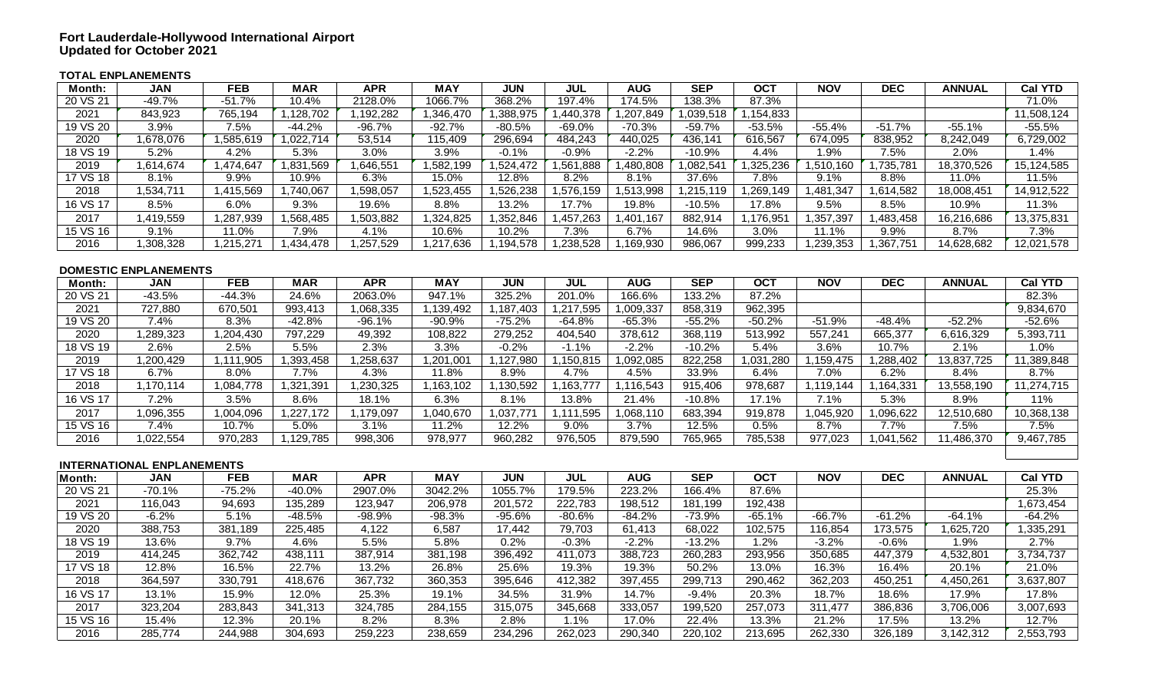## **TOTAL ENPLANEMENTS**

| Month:   | <b>JAN</b>                        | <b>FEB</b> | <b>MAR</b> | <b>APR</b> | <b>MAY</b> | <b>JUN</b> | <b>JUL</b> | <b>AUG</b> | <b>SEP</b> | <b>OCT</b> | <b>NOV</b> | <b>DEC</b> | <b>ANNUAL</b> | <b>Cal YTD</b> |
|----------|-----------------------------------|------------|------------|------------|------------|------------|------------|------------|------------|------------|------------|------------|---------------|----------------|
| 20 VS 21 | $-49.7%$                          | $-51.7%$   | 10.4%      | 2128.0%    | 1066.7%    | 368.2%     | 197.4%     | 174.5%     | 138.3%     | 87.3%      |            |            |               | 71.0%          |
| 2021     | 843,923                           | 765,194    | 1,128,702  | 1,192,282  | 1,346,470  | 1,388,975  | 1,440,378  | 1,207,849  | 1,039,518  | 1,154,833  |            |            |               | 11,508,124     |
| 19 VS 20 | 3.9%                              | 7.5%       | $-44.2%$   | $-96.7%$   | $-92.7%$   | $-80.5%$   | $-69.0%$   | $-70.3%$   | $-59.7%$   | $-53.5%$   | $-55.4%$   | $-51.7%$   | $-55.1%$      | $-55.5%$       |
| 2020     | 1,678,076                         | 1,585,619  | 1,022,714  | 53,514     | 115,409    | 296,694    | 484,243    | 440,025    | 436,141    | 616,567    | 674,095    | 838,952    | 8,242,049     | 6,729,002      |
| 18 VS 19 | 5.2%                              | 4.2%       | 5.3%       | 3.0%       | 3.9%       | $-0.1%$    | $-0.9%$    | $-2.2%$    | $-10.9%$   | 4.4%       | 1.9%       | 7.5%       | 2.0%          | 1.4%           |
| 2019     | 1,614,674                         | 1,474,647  | 1,831,569  | 1,646,551  | 1,582,199  | 1,524,472  | 1,561,888  | ,480,808   | 1,082,541  | 1,325,236  | 1,510,160  | 1,735,781  | 18,370,526    | 15,124,585     |
| 17 VS 18 | 8.1%                              | 9.9%       | 10.9%      | 6.3%       | 15.0%      | 12.8%      | 8.2%       | 8.1%       | 37.6%      | 7.8%       | 9.1%       | 8.8%       | 11.0%         | 11.5%          |
| 2018     | 1,534,711                         | 1,415,569  | 1,740,067  | 1,598,057  | 1,523,455  | 1,526,238  | 1,576,159  | 1,513,998  | 1,215,119  | 1,269,149  | 1,481,347  | 1,614,582  | 18,008,451    | 14,912,522     |
| 16 VS 17 | 8.5%                              | 6.0%       | 9.3%       | 19.6%      | 8.8%       | 13.2%      | 17.7%      | 19.8%      | $-10.5%$   | 17.8%      | 9.5%       | 8.5%       | 10.9%         | 11.3%          |
| 2017     | 1,419,559                         | 1,287,939  | 1,568,485  | 1,503,882  | 1,324,825  | 1,352,846  | 1,457,263  | 1,401,167  | 882,914    | 1,176,951  | 1,357,397  | 1,483,458  | 16,216,686    | 13,375,831     |
| 15 VS 16 | 9.1%                              | 11.0%      | 7.9%       | 4.1%       | 10.6%      | 10.2%      | 7.3%       | 6.7%       | 14.6%      | 3.0%       | 11.1%      | 9.9%       | 8.7%          | 7.3%           |
| 2016     | 1,308,328                         | 1,215,271  | 1,434,478  | 1,257,529  | 1,217,636  | 1,194,578  | 1,238,528  | 1,169,930  | 986,067    | 999,233    | 1,239,353  | 1,367,751  | 14,628,682    | 12,021,578     |
|          |                                   |            |            |            |            |            |            |            |            |            |            |            |               |                |
|          | <b>DOMESTIC ENPLANEMENTS</b>      |            |            |            |            |            |            |            |            |            |            |            |               |                |
| Month:   | <b>JAN</b>                        | <b>FEB</b> | <b>MAR</b> | <b>APR</b> | <b>MAY</b> | <b>JUN</b> | <b>JUL</b> | <b>AUG</b> | <b>SEP</b> | <b>OCT</b> | <b>NOV</b> | <b>DEC</b> | <b>ANNUAL</b> | <b>Cal YTD</b> |
| 20 VS 21 | $-43.5%$                          | $-44.3%$   | 24.6%      | 2063.0%    | 947.1%     | 325.2%     | 201.0%     | 166.6%     | 133.2%     | 87.2%      |            |            |               | 82.3%          |
| 2021     | 727,880                           | 670,501    | 993,413    | 1,068,335  | 1,139,492  | 1,187,403  | 1,217,595  | 1,009,337  | 858,319    | 962,395    |            |            |               | 9,834,670      |
| 19 VS 20 | 7.4%                              | 8.3%       | $-42.8%$   | $-96.1%$   | $-90.9%$   | $-75.2%$   | $-64.8%$   | $-65.3%$   | $-55.2%$   | $-50.2%$   | $-51.9%$   | $-48.4%$   | $-52.2%$      | $-52.6%$       |
| 2020     | 1,289,323                         | 1,204,430  | 797,229    | 49,392     | 108,822    | 279,252    | 404,540    | 378,612    | 368,119    | 513,992    | 557,241    | 665,377    | 6,616,329     | 5,393,711      |
| 18 VS 19 | 2.6%                              | 2.5%       | 5.5%       | 2.3%       | 3.3%       | $-0.2%$    | $-1.1%$    | $-2.2%$    | $-10.2%$   | 5.4%       | 3.6%       | 10.7%      | 2.1%          | 1.0%           |
| 2019     | 1,200,429                         | 1,111,905  | 1,393,458  | 1,258,637  | 1,201,001  | 1,127,980  | 1,150,815  | 1,092,085  | 822,258    | 1,031,280  | 1,159,475  | 1,288,402  | 13,837,725    | 11,389,848     |
| 17 VS 18 | 6.7%                              | 8.0%       | 7.7%       | 4.3%       | 11.8%      | 8.9%       | 4.7%       | 4.5%       | 33.9%      | 6.4%       | 7.0%       | 6.2%       | 8.4%          | 8.7%           |
| 2018     | 1,170,114                         | 1,084,778  | 1,321,391  | 1,230,325  | 1,163,102  | 1,130,592  | 1,163,777  | 1,116,543  | 915,406    | 978,687    | 1,119,144  | 1,164,331  | 13,558,190    | 11,274,715     |
| 16 VS 17 | 7.2%                              | 3.5%       | 8.6%       | 18.1%      | 6.3%       | 8.1%       | 13.8%      | 21.4%      | $-10.8%$   | 17.1%      | 7.1%       | 5.3%       | 8.9%          | 11%            |
| 2017     | 1,096,355                         | 1,004,096  | 1,227,172  | 1,179,097  | 1,040,670  | 1,037,771  | 1,111,595  | 1,068,110  | 683,394    | 919,878    | 1,045,920  | 1,096,622  | 12,510,680    | 10,368,138     |
| 15 VS 16 | 7.4%                              | 10.7%      | 5.0%       | 3.1%       | 11.2%      | 12.2%      | 9.0%       | 3.7%       | 12.5%      | 0.5%       | 8.7%       | 7.7%       | 7.5%          | 7.5%           |
| 2016     | 1,022,554                         | 970,283    | 1,129,785  | 998,306    | 978,977    | 960,282    | 976,505    | 879,590    | 765,965    | 785,538    | 977,023    | 1,041,562  | 11,486,370    | 9,467,785      |
|          |                                   |            |            |            |            |            |            |            |            |            |            |            |               |                |
|          | <b>INTERNATIONAL ENPLANEMENTS</b> |            |            |            |            |            |            |            |            |            |            |            |               |                |
| Month:   | <b>JAN</b>                        | <b>FEB</b> | <b>MAR</b> | <b>APR</b> | <b>MAY</b> | <b>JUN</b> | <b>JUL</b> | <b>AUG</b> | <b>SEP</b> | <b>OCT</b> | <b>NOV</b> | <b>DEC</b> | <b>ANNUAL</b> | <b>Cal YTD</b> |
| 20 VS 21 | $-70.1%$                          | $-75.2%$   | $-40.0%$   | 2907.0%    | 3042.2%    | 1055.7%    | 179.5%     | 223.2%     | 166.4%     | 87.6%      |            |            |               | 25.3%          |
| 2021     | 116,043                           | 94,693     | 135,289    | 123,947    | 206,978    | 201,572    | 222,783    | 198,512    | 181,199    | 192,438    |            |            |               | 1,673,454      |
| 19 VS 20 | $-6.2%$                           | 5.1%       | $-48.5%$   | $-98.9%$   | $-98.3%$   | $-95.6%$   | $-80.6%$   | $-84.2%$   | $-73.9%$   | $-65.1%$   | $-66.7%$   | $-61.2%$   | $-64.1%$      | $-64.2%$       |
| 2020     | 388,753                           | 381,189    | 225,485    | 4,122      | 6,587      | 17,442     | 79,703     | 61,413     | 68,022     | 102,575    | 116,854    | 173,575    | 1,625,720     | 1,335,291      |
| 18 VS 19 | 13.6%                             | 9.7%       | 4.6%       | 5.5%       | 5.8%       | 0.2%       | $-0.3%$    | $-2.2%$    | $-13.2%$   | 1.2%       | $-3.2%$    | $-0.6%$    | 1.9%          | 2.7%           |
| 2019     | 414,245                           | 362,742    | 438,111    | 387,914    | 381,198    | 396,492    | 411,073    | 388,723    | 260,283    | 293,956    | 350,685    | 447,379    | 4,532,801     | 3,734,737      |
| 17 VS 18 | 12.8%                             | 16.5%      | 22.7%      | 13.2%      | 26.8%      | 25.6%      | 19.3%      | 19.3%      | 50.2%      | 13.0%      | 16.3%      | 16.4%      | 20.1%         | 21.0%          |
| 2018     | 364,597                           | 330,791    | 418,676    | 367,732    | 360,353    | 395,646    | 412,382    | 397,455    | 299,713    | 290,462    | 362,203    | 450,251    | 4,450,261     | 3,637,807      |
| 16 VS 17 | 13.1%                             | 15.9%      | 12.0%      | 25.3%      | 19.1%      | 34.5%      | 31.9%      | 14.7%      | $-9.4%$    | 20.3%      | 18.7%      | 18.6%      | 17.9%         | 17.8%          |
| 2017     | 323,204                           | 283,843    | 341,313    | 324,785    | 284,155    | 315,075    | 345,668    | 333,057    | 199,520    | 257,073    | 311,477    | 386,836    | 3,706,006     | 3,007,693      |
| 15 VS 16 | 15.4%                             | 12.3%      | 20.1%      | 8.2%       | 8.3%       | 2.8%       | 1.1%       | 17.0%      | 22.4%      | 13.3%      | 21.2%      | 17.5%      | 13.2%         | 12.7%          |
| 2016     | 285,774                           | 244,988    | 304,693    | 259,223    | 238,659    | 234,296    | 262,023    | 290,340    | 220,102    | 213,695    | 262,330    | 326,189    | 3,142,312     | 2,553,793      |
|          |                                   |            |            |            |            |            |            |            |            |            |            |            |               |                |
|          |                                   |            |            |            |            |            |            |            |            |            |            |            |               |                |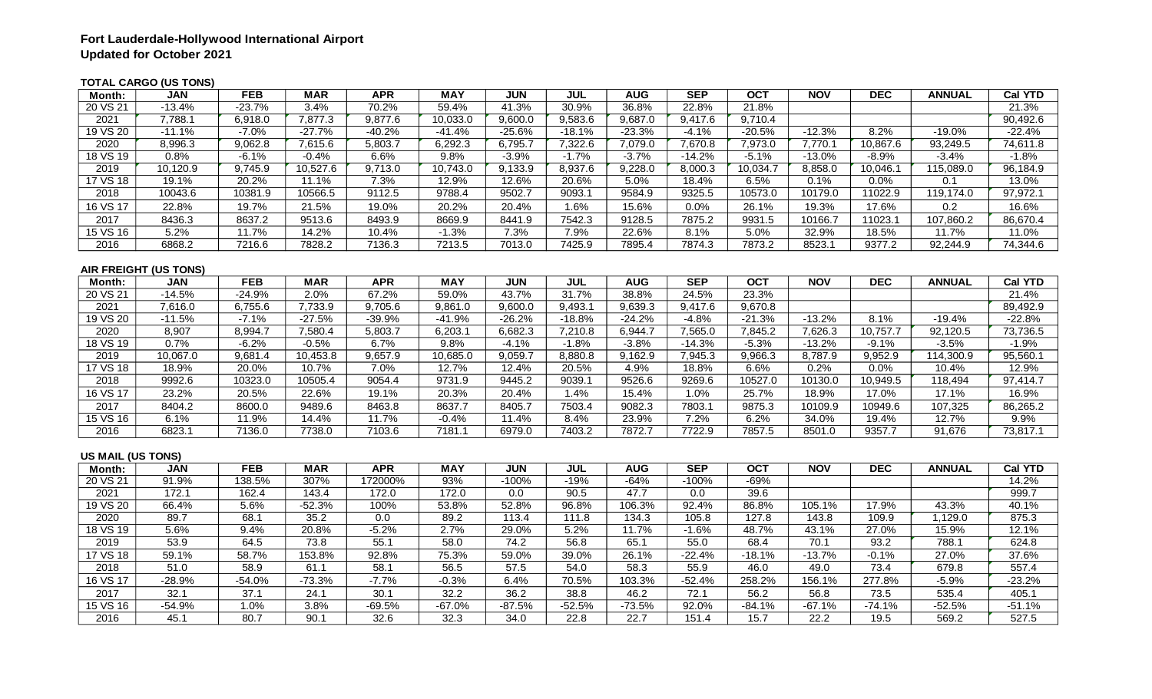## **TOTAL CARGO (US TONS)**

| Month:            | <b>JAN</b>                   | <b>FEB</b> | <b>MAR</b> | <b>APR</b> | <b>MAY</b> | <b>JUN</b> | <b>JUL</b> | <b>AUG</b> | <b>SEP</b> | <b>OCT</b> | <b>NOV</b> | <b>DEC</b> | <b>ANNUAL</b> | <b>Cal YTD</b> |
|-------------------|------------------------------|------------|------------|------------|------------|------------|------------|------------|------------|------------|------------|------------|---------------|----------------|
| 20 VS 21          | $-13.4%$                     | $-23.7%$   | 3.4%       | 70.2%      | 59.4%      | 41.3%      | 30.9%      | 36.8%      | 22.8%      | 21.8%      |            |            |               | 21.3%          |
| 2021              | 7,788.1                      | 6,918.0    | 7,877.3    | 9,877.6    | 10,033.0   | 9,600.0    | 9,583.6    | 9,687.0    | 9,417.6    | 9,710.4    |            |            |               | 90,492.6       |
| 19 VS 20          | $-11.1%$                     | $-7.0%$    | $-27.7%$   | $-40.2%$   | $-41.4%$   | $-25.6%$   | $-18.1%$   | $-23.3%$   | $-4.1%$    | $-20.5%$   | $-12.3%$   | 8.2%       | $-19.0%$      | $-22.4%$       |
| 2020              | 8,996.3                      | 9,062.8    | 7,615.6    | 5,803.7    | 6,292.3    | 6,795.7    | 7,322.6    | 7,079.0    | 7,670.8    | 7,973.0    | 7,770.1    | 10,867.6   | 93,249.5      | 74,611.8       |
| 18 VS 19          | 0.8%                         | $-6.1%$    | $-0.4%$    | 6.6%       | 9.8%       | $-3.9%$    | $-1.7%$    | $-3.7%$    | $-14.2%$   | $-5.1%$    | $-13.0%$   | $-8.9%$    | $-3.4%$       | $-1.8%$        |
| 2019              | 10,120.9                     | 9,745.9    | 10,527.6   | 9,713.0    | 10,743.0   | 9,133.9    | 8,937.6    | 9,228.0    | 8,000.3    | 10,034.7   | 8,858.0    | 10,046.1   | 115,089.0     | 96,184.9       |
| 17 VS 18          | 19.1%                        | 20.2%      | 11.1%      | 7.3%       | 12.9%      | 12.6%      | 20.6%      | 5.0%       | 18.4%      | 6.5%       | 0.1%       | 0.0%       | 0.1           | 13.0%          |
| 2018              | 10043.6                      | 10381.9    | 10566.5    | 9112.5     | 9788.4     | 9502.7     | 9093.1     | 9584.9     | 9325.5     | 10573.0    | 10179.0    | 11022.9    | 119,174.0     | 97,972.1       |
| 16 VS 17          | 22.8%                        | 19.7%      | 21.5%      | 19.0%      | 20.2%      | 20.4%      | 1.6%       | 15.6%      | 0.0%       | 26.1%      | 19.3%      | 17.6%      | 0.2           | 16.6%          |
| 2017              | 8436.3                       | 8637.2     | 9513.6     | 8493.9     | 8669.9     | 8441.9     | 7542.3     | 9128.5     | 7875.2     | 9931.5     | 10166.7    | 11023.1    | 107,860.2     | 86,670.4       |
| 15 VS 16          | 5.2%                         | 11.7%      | 14.2%      | 10.4%      | $-1.3%$    | 7.3%       | 7.9%       | 22.6%      | 8.1%       | 5.0%       | 32.9%      | 18.5%      | 11.7%         | 11.0%          |
| 2016              | 6868.2                       | 7216.6     | 7828.2     | 7136.3     | 7213.5     | 7013.0     | 7425.9     | 7895.4     | 7874.3     | 7873.2     | 8523.1     | 9377.2     | 92,244.9      | 74,344.6       |
|                   |                              |            |            |            |            |            |            |            |            |            |            |            |               |                |
|                   | <b>AIR FREIGHT (US TONS)</b> |            |            |            |            |            |            |            |            |            |            |            |               |                |
| Month:            | <b>JAN</b>                   | <b>FEB</b> | <b>MAR</b> | <b>APR</b> | <b>MAY</b> | <b>JUN</b> | <b>JUL</b> | <b>AUG</b> | SEP        | <b>OCT</b> | <b>NOV</b> | DEC        | <b>ANNUAL</b> | <b>Cal YTD</b> |
| 20 VS 21          | $-14.5%$                     | $-24.9%$   | 2.0%       | 67.2%      | 59.0%      | 43.7%      | 31.7%      | 38.8%      | 24.5%      | 23.3%      |            |            |               | 21.4%          |
| 2021              | 7,616.0                      | 6,755.6    | 7,733.9    | 9,705.6    | 9,861.0    | 9,600.0    | 9,493.1    | 9,639.3    | 9,417.6    | 9,670.8    |            |            |               | 89,492.9       |
| 19 VS 20          | $-11.5%$                     | $-7.1%$    | $-27.5%$   | $-39.9%$   | $-41.9%$   | $-26.2%$   | $-18.8%$   | $-24.2%$   | $-4.8%$    | $-21.3%$   | $-13.2%$   | 8.1%       | $-19.4%$      | $-22.8%$       |
| 2020              | 8,907                        | 8,994.7    | 7,580.4    | 5,803.7    | 6,203.1    | 6,682.3    | 7,210.8    | 6,944.7    | 7,565.0    | 7,845.2    | 7,626.3    | 10,757.7   | 92,120.5      | 73,736.5       |
| 18 VS 19          | 0.7%                         | $-6.2%$    | $-0.5%$    | 6.7%       | 9.8%       | $-4.1%$    | $-1.8%$    | $-3.8%$    | $-14.3%$   | $-5.3%$    | $-13.2%$   | $-9.1%$    | $-3.5%$       | $-1.9%$        |
| 2019              | 10,067.0                     | 9,681.4    | 10,453.8   | 9,657.9    | 10,685.0   | 9,059.7    | 8,880.8    | 9,162.9    | 7,945.3    | 9,966.3    | 8,787.9    | 9,952.9    | 114,300.9     | 95,560.1       |
| 17 VS 18          | 18.9%                        | 20.0%      | 10.7%      | 7.0%       | 12.7%      | 12.4%      | 20.5%      | 4.9%       | 18.8%      | 6.6%       | 0.2%       | 0.0%       | 10.4%         | 12.9%          |
| 2018              | 9992.6                       | 10323.0    | 10505.4    | 9054.4     | 9731.9     | 9445.2     | 9039.1     | 9526.6     | 9269.6     | 10527.0    | 10130.0    | 10,949.5   | 118,494       | 97,414.7       |
| 16 VS 17          | 23.2%                        | 20.5%      | 22.6%      | 19.1%      | 20.3%      | 20.4%      | 1.4%       | 15.4%      | 1.0%       | 25.7%      | 18.9%      | 17.0%      | 17.1%         | 16.9%          |
| 2017              | 8404.2                       | 8600.0     | 9489.6     | 8463.8     | 8637.7     | 8405.7     | 7503.4     | 9082.3     | 7803.1     | 9875.3     | 10109.9    | 10949.6    | 107,325       | 86,265.2       |
| 15 VS 16          | 6.1%                         | 11.9%      | 14.4%      | 11.7%      | $-0.4%$    | 11.4%      | 8.4%       | 23.9%      | 7.2%       | 6.2%       | 34.0%      | 19.4%      | 12.7%         | 9.9%           |
| 2016              | 6823.1                       | 7136.0     | 7738.0     | 7103.6     | 7181.1     | 6979.0     | 7403.2     | 7872.7     | 7722.9     | 7857.5     | 8501.0     | 9357.7     | 91,676        | 73,817.1       |
| US MAIL (US TONS) |                              |            |            |            |            |            |            |            |            |            |            |            |               |                |
| Month:            | <b>JAN</b>                   | FEB        | <b>MAR</b> | <b>APR</b> | <b>MAY</b> | <b>JUN</b> | <b>JUL</b> | <b>AUG</b> | <b>SEP</b> | <b>OCT</b> | <b>NOV</b> | <b>DEC</b> | <b>ANNUAL</b> | <b>Cal YTD</b> |
| 20 VS 21          | 91.9%                        | 138.5%     | 307%       | 172000%    | 93%        | $-100%$    | $-19%$     | $-64%$     | $-100%$    | $-69%$     |            |            |               | 14.2%          |
| 2021              | 172.1                        | 162.4      | 143.4      | 172.0      | 172.0      | 0.0        | 90.5       | 47.7       | 0.0        | 39.6       |            |            |               | 999.7          |
| 19 VS 20          | 66.4%                        | 5.6%       | $-52.3%$   | 100%       | 53.8%      | 52.8%      | 96.8%      | 106.3%     | 92.4%      | 86.8%      | 105.1%     | 17.9%      | 43.3%         | 40.1%          |
| 2020              | 89.7                         | 68.1       | 35.2       | 0.0        | 89.2       | 113.4      | 111.8      | 134.3      | 105.8      | 127.8      | 143.8      | 109.9      | 1,129.0       | 875.3          |
| 18 VS 19          | 5.6%                         | 9.4%       | 20.8%      | $-5.2%$    | 2.7%       | 29.0%      | 5.2%       | 11.7%      | $-1.6%$    | 48.7%      | 43.1%      | 27.0%      | 15.9%         | 12.1%          |
| 2019              | 53.9                         | 64.5       | 73.8       | 55.1       | 58.0       | 74.2       | 56.8       | 65.1       | 55.0       | 68.4       | 70.1       | 93.2       | 788.1         | 624.8          |
| 17 VS 18          | 59.1%                        | 58.7%      | 153.8%     | 92.8%      | 75.3%      | 59.0%      | 39.0%      | 26.1%      | $-22.4%$   | $-18.1%$   | $-13.7%$   | $-0.1%$    | 27.0%         | 37.6%          |
| 2018              | $\overline{51.0}$            | 58.9       | 61.1       | 58.1       | 56.5       | 57.5       | 54.0       | 58.3       | 55.9       | 46.0       | 49.0       | 73.4       | 679.8         | 557.4          |
| 16 VS 17          | $-28.9%$                     | $-54.0%$   | $-73.3%$   | $-7.7%$    | $-0.3%$    | 6.4%       | 70.5%      | 103.3%     | $-52.4%$   | 258.2%     | 156.1%     | 277.8%     | $-5.9%$       | $-23.2%$       |
| 2017              | 32.1                         | 37.1       | 24.1       | 30.1       | 32.2       | 36.2       | 38.8       | 46.2       | 72.1       | 56.2       | 56.8       | 73.5       | 535.4         | 405.1          |
| 15 VS 16          | $-54.9%$                     | 1.0%       | 3.8%       | $-69.5%$   | $-67.0%$   | $-87.5%$   | $-52.5%$   | $-73.5%$   | 92.0%      | $-84.1%$   | $-67.1%$   | $-74.1%$   | $-52.5%$      | $-51.1%$       |
| 2016              | 45.1                         | 80.7       | 90.1       | 32.6       | 32.3       | 34.0       | 22.8       | 22.7       | 151.4      | 15.7       | 22.2       | 19.5       | 569.2         | 527.5          |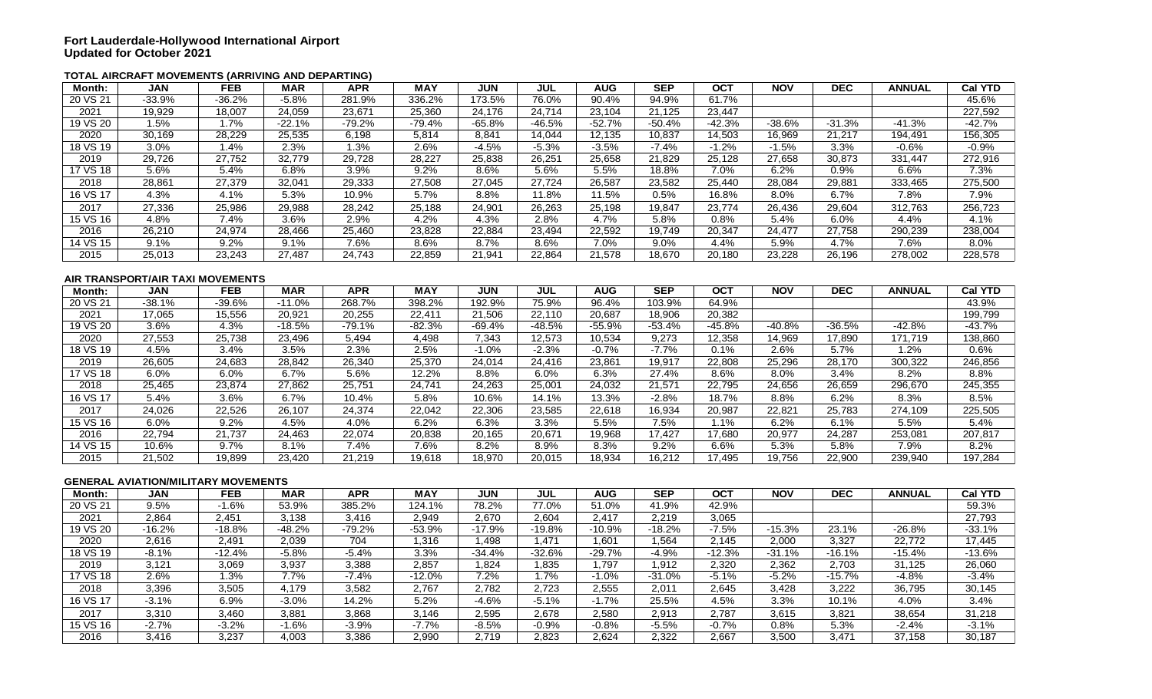#### **TOTAL AIRCRAFT MOVEMENTS (ARRIVING AND DEPARTING)**

| Month:   | <b>JAN</b>                                 | <b>FEB</b> | <b>MAR</b> | <b>APR</b> | <b>MAY</b> | <b>JUN</b> | <b>JUL</b> | <b>AUG</b> | <b>SEP</b> | <b>OCT</b> | <b>NOV</b> | <b>DEC</b> | <b>ANNUAL</b> | <b>Cal YTD</b> |
|----------|--------------------------------------------|------------|------------|------------|------------|------------|------------|------------|------------|------------|------------|------------|---------------|----------------|
| 20 VS 21 | $-33.9%$                                   | $-36.2%$   | $-5.8%$    | 281.9%     | 336.2%     | 173.5%     | 76.0%      | 90.4%      | 94.9%      | 61.7%      |            |            |               | 45.6%          |
| 2021     | 19,929                                     | 18,007     | 24,059     | 23,671     | 25,360     | 24,176     | 24,714     | 23,104     | 21,125     | 23,447     |            |            |               | 227,592        |
| 19 VS 20 | 1.5%                                       | 1.7%       | $-22.1%$   | $-79.2%$   | $-79.4%$   | $-65.8%$   | $-46.5%$   | $-52.7%$   | $-50.4%$   | $-42.3%$   | $-38.6%$   | $-31.3%$   | $-41.3%$      | $-42.7%$       |
| 2020     | 30,169                                     | 28,229     | 25,535     | 6,198      | 5,814      | 8,841      | 14,044     | 12,135     | 10,837     | 14,503     | 16,969     | 21,217     | 194,491       | 156,305        |
| 18 VS 19 | 3.0%                                       | 1.4%       | 2.3%       | 1.3%       | 2.6%       | $-4.5%$    | $-5.3%$    | $-3.5%$    | $-7.4%$    | $-1.2%$    | $-1.5%$    | 3.3%       | $-0.6%$       | $-0.9%$        |
| 2019     | 29,726                                     | 27,752     | 32,779     | 29,728     | 28,227     | 25,838     | 26,251     | 25,658     | 21,829     | 25,128     | 27,658     | 30,873     | 331,447       | 272,916        |
| 17 VS 18 | 5.6%                                       | 5.4%       | 6.8%       | 3.9%       | 9.2%       | 8.6%       | 5.6%       | 5.5%       | 18.8%      | 7.0%       | 6.2%       | 0.9%       | 6.6%          | 7.3%           |
| 2018     | 28,861                                     | 27,379     | 32,041     | 29,333     | 27,508     | 27,045     | 27,724     | 26,587     | 23,582     | 25,440     | 28,084     | 29,881     | 333,465       | 275,500        |
| 16 VS 17 | 4.3%                                       | 4.1%       | 5.3%       | 10.9%      | 5.7%       | 8.8%       | 11.8%      | 11.5%      | 0.5%       | 16.8%      | 8.0%       | 6.7%       | 7.8%          | 7.9%           |
| 2017     | 27,336                                     | 25,986     | 29,988     | 28,242     | 25,188     | 24,901     | 26,263     | 25,198     | 19,847     | 23,774     | 26,436     | 29,604     | 312,763       | 256,723        |
| 15 VS 16 | 4.8%                                       | 7.4%       | 3.6%       | 2.9%       | 4.2%       | 4.3%       | 2.8%       | 4.7%       | 5.8%       | 0.8%       | 5.4%       | 6.0%       | 4.4%          | 4.1%           |
| 2016     | 26,210                                     | 24,974     | 28,466     | 25,460     | 23,828     | 22,884     | 23,494     | 22,592     | 19,749     | 20,347     | 24,477     | 27,758     | 290,239       | 238,004        |
| 14 VS 15 | 9.1%                                       | 9.2%       | 9.1%       | 7.6%       | 8.6%       | 8.7%       | 8.6%       | 7.0%       | 9.0%       | 4.4%       | 5.9%       | 4.7%       | 7.6%          | 8.0%           |
| 2015     | 25,013                                     | 23,243     | 27,487     | 24,743     | 22,859     | 21,941     | 22,864     | 21,578     | 18,670     | 20,180     | 23,228     | 26,196     | 278,002       | 228,578        |
|          |                                            |            |            |            |            |            |            |            |            |            |            |            |               |                |
|          | AIR TRANSPORT/AIR TAXI MOVEMENTS           |            |            |            |            |            |            |            |            |            |            |            |               |                |
| Month:   | <b>JAN</b>                                 | <b>FEB</b> | <b>MAR</b> | <b>APR</b> | <b>MAY</b> | <b>JUN</b> | <b>JUL</b> | <b>AUG</b> | <b>SEP</b> | <b>OCT</b> | <b>NOV</b> | <b>DEC</b> | <b>ANNUAL</b> | <b>Cal YTD</b> |
| 20 VS 21 | $-38.1%$                                   | $-39.6%$   | $-11.0%$   | 268.7%     | 398.2%     | 192.9%     | 75.9%      | 96.4%      | 103.9%     | 64.9%      |            |            |               | 43.9%          |
| 2021     | 17,065                                     | 15,556     | 20,921     | 20,255     | 22,411     | 21,506     | 22,110     | 20,687     | 18,906     | 20,382     |            |            |               | 199,799        |
| 19 VS 20 | 3.6%                                       | 4.3%       | $-18.5%$   | $-79.1%$   | $-82.3%$   | $-69.4%$   | $-48.5%$   | $-55.9%$   | $-53.4%$   | $-45.8%$   | $-40.8%$   | $-36.5%$   | $-42.8%$      | $-43.7%$       |
| 2020     | 27,553                                     | 25,738     | 23,496     | 5,494      | 4,498      | 7,343      | 12,573     | 10,534     | 9,273      | 12,358     | 14,969     | 17,890     | 171,719       | 138,860        |
| 18 VS 19 | 4.5%                                       | 3.4%       | 3.5%       | 2.3%       | 2.5%       | $-1.0%$    | $-2.3%$    | $-0.7%$    | $-7.7%$    | 0.1%       | 2.6%       | 5.7%       | 1.2%          | 0.6%           |
| 2019     | 26,605                                     | 24,683     | 28,842     | 26,340     | 25,370     | 24,014     | 24,416     | 23,861     | 19,917     | 22,808     | 25,296     | 28,170     | 300,322       | 246,856        |
| 17 VS 18 | 6.0%                                       | 6.0%       | 6.7%       | 5.6%       | 12.2%      | 8.8%       | 6.0%       | 6.3%       | 27.4%      | 8.6%       | 8.0%       | 3.4%       | 8.2%          | 8.8%           |
| 2018     | 25,465                                     | 23,874     | 27,862     | 25,751     | 24,741     | 24,263     | 25,001     | 24,032     | 21,571     | 22,795     | 24,656     | 26,659     | 296,670       | 245,355        |
| 16 VS 17 | 5.4%                                       | 3.6%       | 6.7%       | 10.4%      | 5.8%       | 10.6%      | 14.1%      | 13.3%      | $-2.8%$    | 18.7%      | 8.8%       | 6.2%       | 8.3%          | 8.5%           |
| 2017     | 24,026                                     | 22,526     | 26,107     | 24,374     | 22,042     | 22,306     | 23,585     | 22,618     | 16,934     | 20,987     | 22,821     | 25,783     | 274,109       | 225,505        |
| 15 VS 16 | 6.0%                                       | 9.2%       | 4.5%       | 4.0%       | 6.2%       | 6.3%       | 3.3%       | 5.5%       | 7.5%       | 1.1%       | 6.2%       | 6.1%       | 5.5%          | 5.4%           |
| 2016     | 22,794                                     | 21,737     | 24,463     | 22,074     | 20,838     | 20,165     | 20,671     | 19,968     | 17,427     | 17,680     | 20,977     | 24,287     | 253,081       | 207,817        |
| 14 VS 15 | 10.6%                                      | 9.7%       | 8.1%       | 7.4%       | 7.6%       | 8.2%       | 8.9%       | 8.3%       | 9.2%       | 6.6%       | 5.3%       | 5.8%       | 7.9%          | 8.2%           |
| 2015     | 21,502                                     | 19,899     | 23,420     | 21,219     | 19,618     | 18,970     | 20,015     | 18,934     | 16,212     | 17,495     | 19,756     | 22,900     | 239,940       | 197,284        |
|          | <b>GENERAL AVIATION/MILITARY MOVEMENTS</b> |            |            |            |            |            |            |            |            |            |            |            |               |                |
| Month:   | <b>JAN</b>                                 | <b>FEB</b> | <b>MAR</b> | <b>APR</b> | <b>MAY</b> | <b>JUN</b> | <b>JUL</b> | <b>AUG</b> | <b>SEP</b> | <b>OCT</b> | <b>NOV</b> | <b>DEC</b> | <b>ANNUAL</b> | <b>Cal YTD</b> |
| 20 VS 21 | 9.5%                                       | $-1.6%$    | 53.9%      | 385.2%     | 124.1%     | 78.2%      | 77.0%      | 51.0%      | 41.9%      | 42.9%      |            |            |               | 59.3%          |
| 2021     | 2,864                                      | 2,451      | 3,138      | 3,416      | 2,949      | 2,670      | 2,604      | 2,417      | 2,219      | 3,065      |            |            |               | 27,793         |
| 19 VS 20 | $-16.2%$                                   | $-18.8%$   | $-48.2%$   | $-79.2%$   | $-53.9%$   | $-17.9%$   | $-19.8%$   | $-10.9%$   | $-18.2%$   | $-7.5%$    | $-15.3%$   | 23.1%      | $-26.8%$      | $-33.1%$       |
| 2020     | 2,616                                      | 2,491      | 2,039      | 704        | 1,316      | 1,498      | 1,471      | 1,601      | 1,564      | 2,145      | 2,000      | 3,327      | 22,772        | 17,445         |
| 18 VS 19 | $-8.1%$                                    | $-12.4%$   | $-5.8%$    | $-5.4%$    | 3.3%       | $-34.4%$   | $-32.6%$   | $-29.7%$   | $-4.9%$    | $-12.3%$   | $-31.1%$   | $-16.1%$   | $-15.4%$      | $-13.6%$       |
| 2019     | 3,121                                      | 3,069      | 3,937      | 3,388      | 2,857      | 1,824      | 1,835      | 1,797      | 1,912      | 2,320      | 2,362      | 2,703      | 31,125        | 26,060         |
|          |                                            |            |            |            |            |            |            |            |            |            |            |            |               |                |

| 2016     | 22,794                                     | 21,737     | 24,463     | 22,074     | 20,838     | 20,165     | 20,671     | 19,968     | 17,427     | 17,680     | 20,977     | 24,287     | 253,081       | 207,817        |
|----------|--------------------------------------------|------------|------------|------------|------------|------------|------------|------------|------------|------------|------------|------------|---------------|----------------|
| 14 VS 15 | 10.6%                                      | 9.7%       | 8.1%       | 7.4%       | 7.6%       | 8.2%       | 8.9%       | 8.3%       | 9.2%       | 6.6%       | 5.3%       | 5.8%       | 7.9%          | 8.2%           |
| 2015     | 21,502                                     | 19,899     | 23,420     | 21,219     | 19,618     | 18,970     | 20,015     | 18,934     | 16,212     | 17,495     | 19,756     | 22,900     | 239,940       | 197,284        |
|          |                                            |            |            |            |            |            |            |            |            |            |            |            |               |                |
|          | <b>GENERAL AVIATION/MILITARY MOVEMENTS</b> |            |            |            |            |            |            |            |            |            |            |            |               |                |
| Month:   | <b>JAN</b>                                 | <b>FEB</b> | <b>MAR</b> | <b>APR</b> | <b>MAY</b> | <b>JUN</b> | <b>JUL</b> | <b>AUG</b> | <b>SEP</b> | <b>OCT</b> | <b>NOV</b> | <b>DEC</b> | <b>ANNUAL</b> | <b>Cal YTD</b> |
| 20 VS 21 | 9.5%                                       | $-1.6%$    | 53.9%      | 385.2%     | 124.1%     | 78.2%      | 77.0%      | 51.0%      | 41.9%      | 42.9%      |            |            |               | 59.3%          |
| 2021     | 2,864                                      | 2,451      | 3,138      | 3,416      | 2,949      | 2,670      | 2,604      | 2,417      | 2,219      | 3,065      |            |            |               | 27,793         |
| 19 VS 20 | -16.2%                                     | -18.8%     | -48.2%     | -79.2%     | -53.9%     | $-17.9%$   | $-19.8%$   | $-10.9%$   | $-18.2%$   | -7.5%      | $-15.3%$   | 23.1%      | $-26.8%$      | $-33.1%$       |
| 2020     | 2,616                                      | 2,491      | 2,039      | 704        | 1,316      | 1,498      | ,471       | 1,601      | 1,564      | 2,145      | 2,000      | 3,327      | 22,772        | 17,445         |
| 18 VS 19 | $-8.1%$                                    | -12.4%     | $-5.8%$    | $-5.4%$    | 3.3%       | $-34.4%$   | -32.6%     | $-29.7%$   | $-4.9%$    | $-12.3%$   | $-31.1%$   | $-16.1%$   | $-15.4%$      | -13.6%         |
| 2019     | 3,121                                      | 3,069      | 3,937      | 3,388      | 2,857      | 1,824      | .835       | 1,797      | 1,912      | 2,320      | 2,362      | 2,703      | 31,125        | 26,060         |
| 17 VS 18 | 2.6%                                       | 1.3%       | 7.7%       | $-7.4%$    | $-12.0%$   | 7.2%       | $1.7\%$    | $-1.0%$    | $-31.0%$   | $-5.1%$    | $-5.2%$    | $-15.7%$   | $-4.8%$       | $-3.4%$        |
| 2018     | 3,396                                      | 3,505      | 4,179      | 3,582      | 2,767      | 2,782      | 2,723      | 2,555      | 2,011      | 2,645      | 3,428      | 3,222      | 36,795        | 30,145         |
| 16 VS 17 | $-3.1%$                                    | 6.9%       | $-3.0\%$   | 14.2%      | 5.2%       | $-4.6%$    | $-5.1%$    | $-1.7%$    | 25.5%      | 4.5%       | 3.3%       | 10.1%      | 4.0%          | 3.4%           |
| 2017     | 3,310                                      | 3,460      | 3,881      | 3,868      | 3,146      | 2,595      | 2,678      | 2,580      | 2,913      | 2,787      | 3,615      | 3,821      | 38,654        | 31,218         |
| 15 VS 16 | $-2.7\%$                                   | $-3.2\%$   | -1.6%      | -3.9%      | -7.7%      | $-8.5%$    | $-0.9\%$   | -0.8%      | -5.5%      | $-0.7%$    | 0.8%       | 5.3%       | $-2.4%$       | $-3.1\%$       |
| 2016     | 3,416                                      | 3,237      | 4,003      | 3,386      | 2,990      | 2,719      | 2,823      | 2,624      | 2,322      | 2,667      | 3,500      | 3,471      | 37,158        | 30,187         |
|          |                                            |            |            |            |            |            |            |            |            |            |            |            |               |                |
|          |                                            |            |            |            |            |            |            |            |            |            |            |            |               |                |
|          |                                            |            |            |            |            |            |            |            |            |            |            |            |               |                |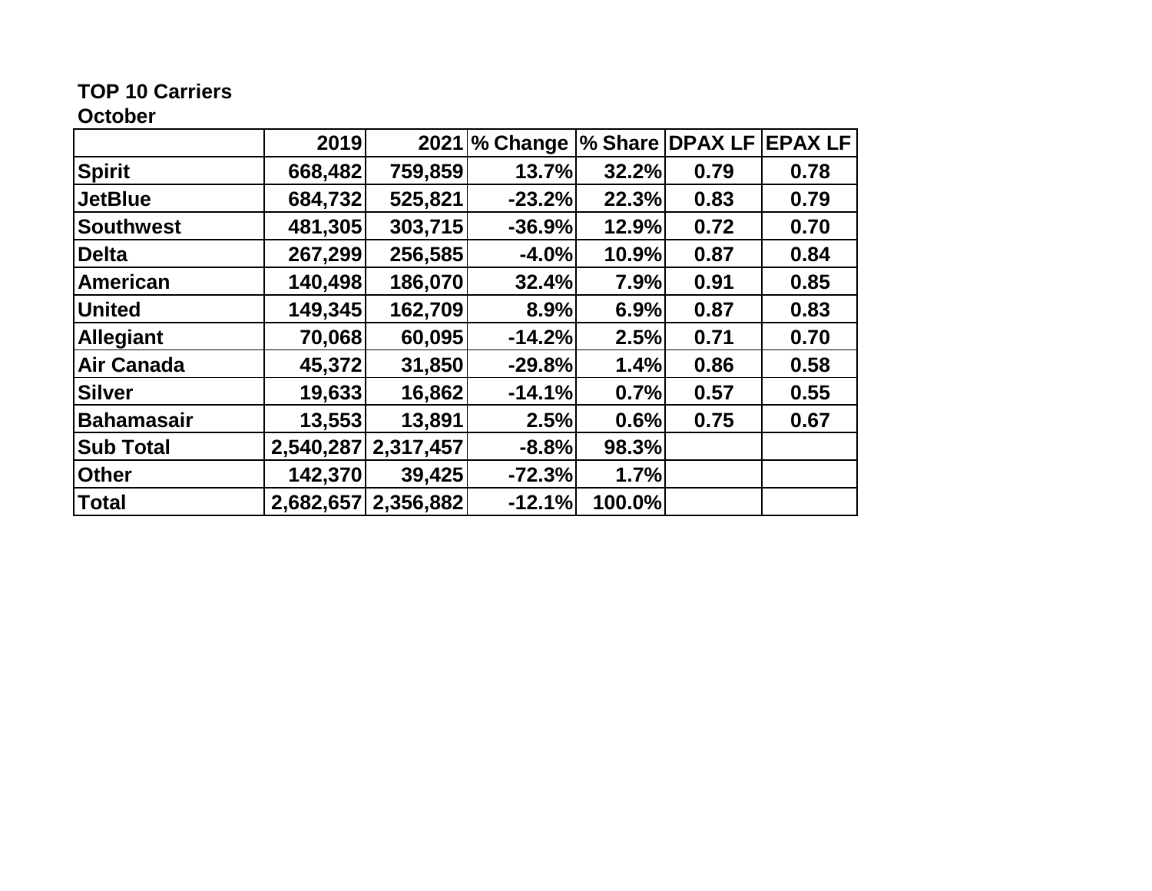# **TOP 10 Carriers**

# **October**

|                   | 2019      |           | 2021 % Change |        | % Share DPAX LF | <b>EPAX LF</b> |
|-------------------|-----------|-----------|---------------|--------|-----------------|----------------|
| <b>Spirit</b>     | 668,482   | 759,859   | 13.7%         | 32.2%  | 0.79            | 0.78           |
| <b>JetBlue</b>    | 684,732   | 525,821   | $-23.2%$      | 22.3%  | 0.83            | 0.79           |
| <b>Southwest</b>  | 481,305   | 303,715   | $-36.9%$      | 12.9%  | 0.72            | 0.70           |
| <b>Delta</b>      | 267,299   | 256,585   | $-4.0%$       | 10.9%  | 0.87            | 0.84           |
| American          | 140,498   | 186,070   | 32.4%         | 7.9%   | 0.91            | 0.85           |
| <b>United</b>     | 149,345   | 162,709   | 8.9%          | 6.9%   | 0.87            | 0.83           |
| <b>Allegiant</b>  | 70,068    | 60,095    | $-14.2%$      | 2.5%   | 0.71            | 0.70           |
| <b>Air Canada</b> | 45,372    | 31,850    | $-29.8%$      | 1.4%   | 0.86            | 0.58           |
| <b>Silver</b>     | 19,633    | 16,862    | $-14.1%$      | 0.7%   | 0.57            | 0.55           |
| <b>Bahamasair</b> | 13,553    | 13,891    | 2.5%          | 0.6%   | 0.75            | 0.67           |
| <b>Sub Total</b>  | 2,540,287 | 2,317,457 | $-8.8%$       | 98.3%  |                 |                |
| <b>Other</b>      | 142,370   | 39,425    | $-72.3%$      | 1.7%   |                 |                |
| <b>Total</b>      | 2,682,657 | 2,356,882 | $-12.1%$      | 100.0% |                 |                |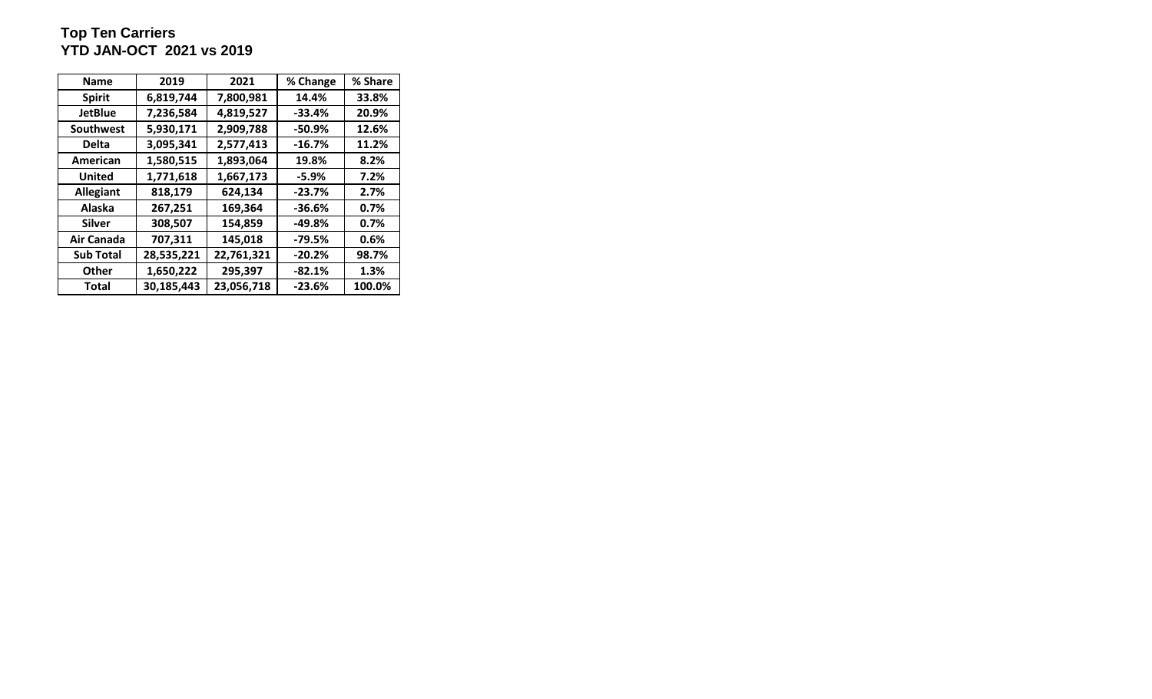## **Top Ten Carriers YTD JAN-OCT 2021 vs 2019**

| <b>Name</b>      | 2019       | 2021       | % Change | % Share |
|------------------|------------|------------|----------|---------|
| <b>Spirit</b>    | 6,819,744  | 7,800,981  | 14.4%    | 33.8%   |
| <b>JetBlue</b>   | 7,236,584  | 4,819,527  | $-33.4%$ | 20.9%   |
| <b>Southwest</b> | 5,930,171  | 2,909,788  | $-50.9%$ | 12.6%   |
| <b>Delta</b>     | 3,095,341  | 2,577,413  | $-16.7%$ | 11.2%   |
| American         | 1,580,515  | 1,893,064  | 19.8%    | 8.2%    |
| <b>United</b>    | 1,771,618  | 1,667,173  | -5.9%    | 7.2%    |
| <b>Allegiant</b> | 818,179    | 624,134    | $-23.7%$ | 2.7%    |
| Alaska           | 267,251    | 169,364    | $-36.6%$ | $0.7\%$ |
| <b>Silver</b>    | 308,507    | 154,859    | $-49.8%$ | 0.7%    |
| Air Canada       | 707,311    | 145,018    | $-79.5%$ | 0.6%    |
| <b>Sub Total</b> | 28,535,221 | 22,761,321 | $-20.2%$ | 98.7%   |
| <b>Other</b>     | 1,650,222  | 295,397    | $-82.1%$ | 1.3%    |
| <b>Total</b>     | 30,185,443 | 23,056,718 | $-23.6%$ | 100.0%  |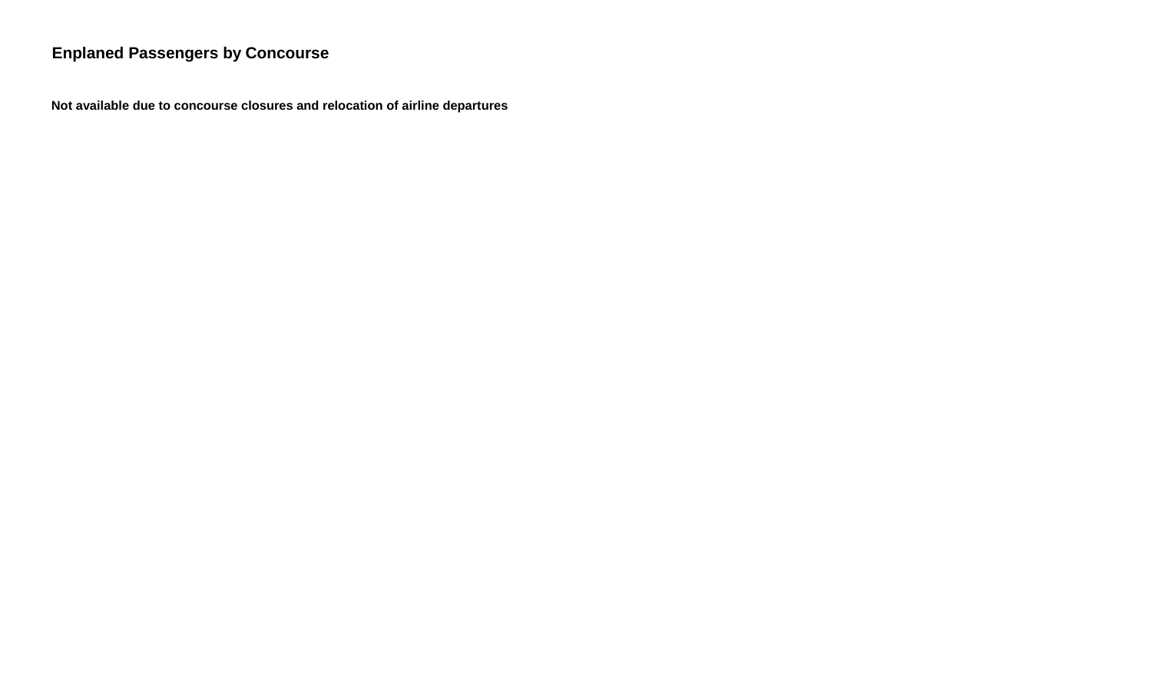# **Enplaned Passengers by Concourse**

 **Not available due to concourse closures and relocation of airline departures**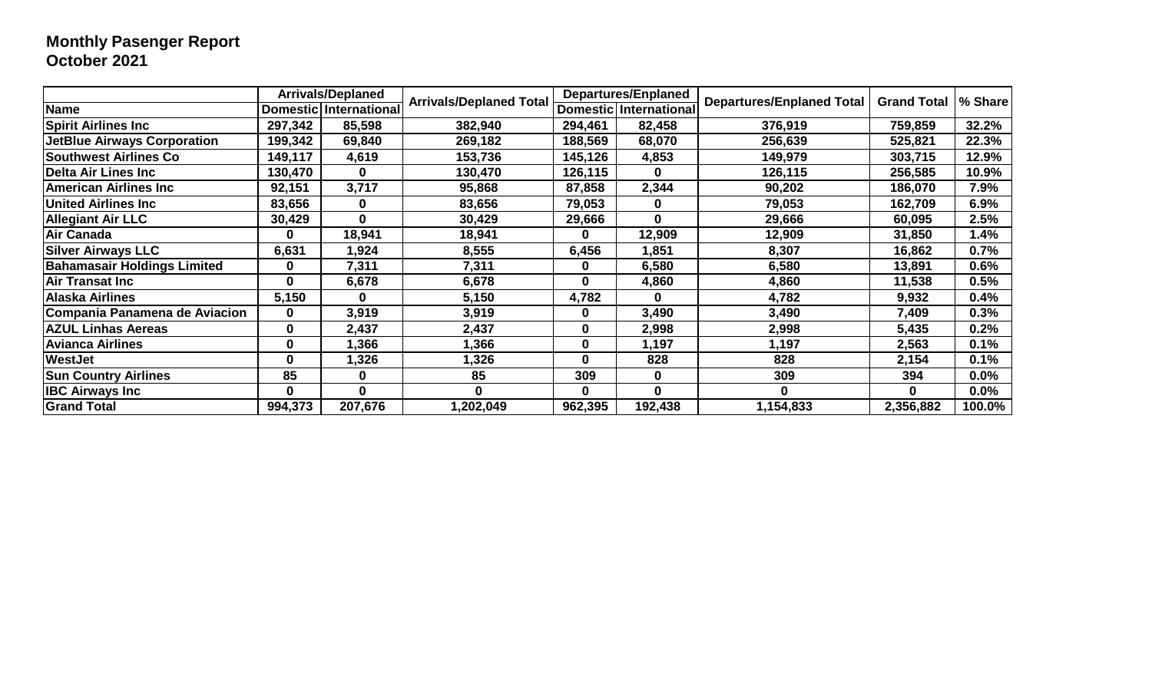# **Monthly Pasenger Report October 2021**

|                                    |         | <b>Arrivals/Deplaned</b> | <b>Arrivals/Deplaned Total</b> |          | <b>Departures/Enplaned</b> | Departures/Enplaned Total |                    | % Share |
|------------------------------------|---------|--------------------------|--------------------------------|----------|----------------------------|---------------------------|--------------------|---------|
| Name                               |         | Domestic   International |                                |          | Domestic   International   |                           | <b>Grand Total</b> |         |
| <b>Spirit Airlines Inc</b>         | 297,342 | 85,598                   | 382,940                        | 294,461  | 82,458                     | 376,919                   | 759,859            | 32.2%   |
| <b>JetBlue Airways Corporation</b> | 199,342 | 69,840                   | 269,182                        | 188,569  | 68,070                     | 256,639                   | 525,821            | 22.3%   |
| <b>Southwest Airlines Co</b>       | 149,117 | 4,619                    | 153,736                        | 145,126  | 4,853                      | 149,979                   | 303,715            | 12.9%   |
| Delta Air Lines Inc                | 130,470 | $\bf{0}$                 | 130,470                        | 126,115  | $\mathbf{0}$               | 126,115                   | 256,585            | 10.9%   |
| <b>American Airlines Inc</b>       | 92,151  | 3,717                    | 95,868                         | 87,858   | 2,344                      | 90,202                    | 186,070            | 7.9%    |
| <b>United Airlines Inc</b>         | 83,656  | 0                        | 83,656                         | 79,053   | 0                          | 79,053                    | 162,709            | 6.9%    |
| <b>Allegiant Air LLC</b>           | 30,429  | $\bf{0}$                 | 30,429                         | 29,666   | $\bf{0}$                   | 29,666                    | 60,095             | 2.5%    |
| <b>Air Canada</b>                  | 0       | 18,941                   | 18,941                         | $\bf{0}$ | 12,909                     | 12,909                    | 31,850             | 1.4%    |
| <b>Silver Airways LLC</b>          | 6,631   | 1,924                    | 8,555                          | 6,456    | 851,ا                      | 8,307                     | 16,862             | 0.7%    |
| <b>Bahamasair Holdings Limited</b> | 0       | 7,311                    | 7,311                          | 0        | 6,580                      | 6,580                     | 13,891             | 0.6%    |
| Air Transat Inc                    | 0       | 6,678                    | 6,678                          | $\bf{0}$ | 4,860                      | 4,860                     | 11,538             | 0.5%    |
| <b>Alaska Airlines</b>             | 5,150   | 0                        | 5,150                          | 4,782    | $\Omega$                   | 4,782                     | 9,932              | 0.4%    |
| Compania Panamena de Aviacion      | 0       | 3,919                    | 3,919                          | 0        | 3,490                      | 3,490                     | 7,409              | 0.3%    |
| <b>AZUL Linhas Aereas</b>          | 0       | 2,437                    | 2,437                          | 0        | 2,998                      | 2,998                     | 5,435              | 0.2%    |
| <b>Avianca Airlines</b>            | 0       | 1,366                    | 1,366                          | 0        | 1,197                      | 1,197                     | 2,563              | 0.1%    |
| <b>WestJet</b>                     | 0       | 1,326                    | 1,326                          | 0        | 828                        | 828                       | 2,154              | 0.1%    |
| <b>Sun Country Airlines</b>        | 85      | 0                        | 85                             | 309      | 0                          | 309                       | 394                | 0.0%    |
| <b>IBC Airways Inc</b>             | 0       | 0                        | 0                              | 0        | $\Omega$                   |                           | 0                  | $0.0\%$ |
| <b>Grand Total</b>                 | 994,373 | 207,676                  | 1,202,049                      | 962,395  | 192,438                    | 1,154,833                 | 2,356,882          | 100.0%  |